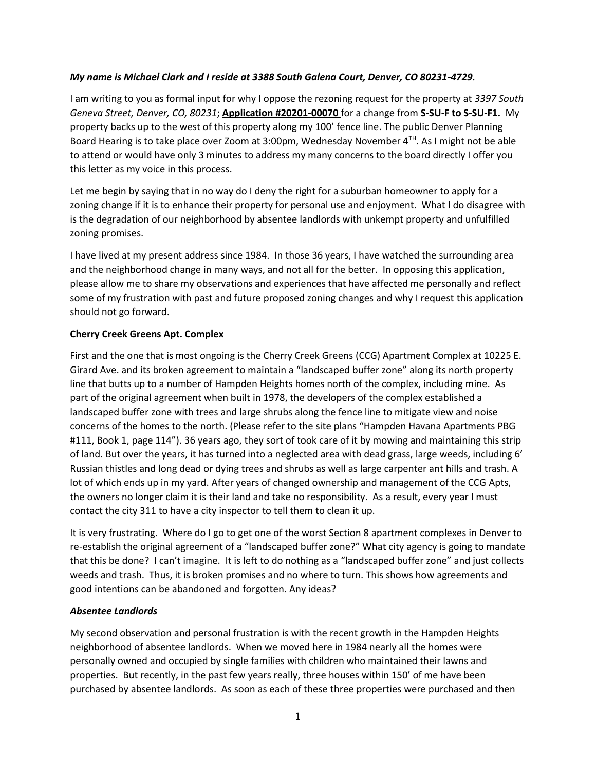## *My name is Michael Clark and I reside at 3388 South Galena Court, Denver, CO 80231-4729.*

I am writing to you as formal input for why I oppose the rezoning request for the property at *3397 South Geneva Street, Denver, CO, 80231*; **Application #20201-00070** for a change from **S-SU-F to S-SU-F1.** My property backs up to the west of this property along my 100' fence line. The public Denver Planning Board Hearing is to take place over Zoom at 3:00pm, Wednesday November  $4<sup>TH</sup>$ . As I might not be able to attend or would have only 3 minutes to address my many concerns to the board directly I offer you this letter as my voice in this process.

Let me begin by saying that in no way do I deny the right for a suburban homeowner to apply for a zoning change if it is to enhance their property for personal use and enjoyment. What I do disagree with is the degradation of our neighborhood by absentee landlords with unkempt property and unfulfilled zoning promises.

I have lived at my present address since 1984. In those 36 years, I have watched the surrounding area and the neighborhood change in many ways, and not all for the better. In opposing this application, please allow me to share my observations and experiences that have affected me personally and reflect some of my frustration with past and future proposed zoning changes and why I request this application should not go forward.

## **Cherry Creek Greens Apt. Complex**

First and the one that is most ongoing is the Cherry Creek Greens (CCG) Apartment Complex at 10225 E. Girard Ave. and its broken agreement to maintain a "landscaped buffer zone" along its north property line that butts up to a number of Hampden Heights homes north of the complex, including mine. As part of the original agreement when built in 1978, the developers of the complex established a landscaped buffer zone with trees and large shrubs along the fence line to mitigate view and noise concerns of the homes to the north. (Please refer to the site plans "Hampden Havana Apartments PBG #111, Book 1, page 114"). 36 years ago, they sort of took care of it by mowing and maintaining this strip of land. But over the years, it has turned into a neglected area with dead grass, large weeds, including 6' Russian thistles and long dead or dying trees and shrubs as well as large carpenter ant hills and trash. A lot of which ends up in my yard. After years of changed ownership and management of the CCG Apts, the owners no longer claim it is their land and take no responsibility. As a result, every year I must contact the city 311 to have a city inspector to tell them to clean it up.

It is very frustrating. Where do I go to get one of the worst Section 8 apartment complexes in Denver to re-establish the original agreement of a "landscaped buffer zone?" What city agency is going to mandate that this be done? I can't imagine. It is left to do nothing as a "landscaped buffer zone" and just collects weeds and trash. Thus, it is broken promises and no where to turn. This shows how agreements and good intentions can be abandoned and forgotten. Any ideas?

## *Absentee Landlords*

My second observation and personal frustration is with the recent growth in the Hampden Heights neighborhood of absentee landlords. When we moved here in 1984 nearly all the homes were personally owned and occupied by single families with children who maintained their lawns and properties. But recently, in the past few years really, three houses within 150' of me have been purchased by absentee landlords. As soon as each of these three properties were purchased and then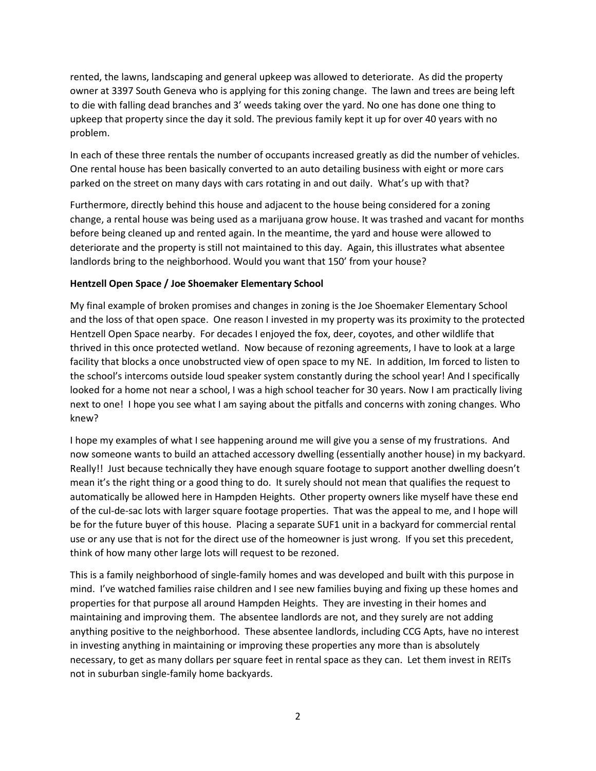rented, the lawns, landscaping and general upkeep was allowed to deteriorate. As did the property owner at 3397 South Geneva who is applying for this zoning change. The lawn and trees are being left to die with falling dead branches and 3' weeds taking over the yard. No one has done one thing to upkeep that property since the day it sold. The previous family kept it up for over 40 years with no problem.

In each of these three rentals the number of occupants increased greatly as did the number of vehicles. One rental house has been basically converted to an auto detailing business with eight or more cars parked on the street on many days with cars rotating in and out daily. What's up with that?

Furthermore, directly behind this house and adjacent to the house being considered for a zoning change, a rental house was being used as a marijuana grow house. It was trashed and vacant for months before being cleaned up and rented again. In the meantime, the yard and house were allowed to deteriorate and the property is still not maintained to this day. Again, this illustrates what absentee landlords bring to the neighborhood. Would you want that 150' from your house?

## **Hentzell Open Space / Joe Shoemaker Elementary School**

My final example of broken promises and changes in zoning is the Joe Shoemaker Elementary School and the loss of that open space. One reason I invested in my property was its proximity to the protected Hentzell Open Space nearby. For decades I enjoyed the fox, deer, coyotes, and other wildlife that thrived in this once protected wetland. Now because of rezoning agreements, I have to look at a large facility that blocks a once unobstructed view of open space to my NE. In addition, Im forced to listen to the school's intercoms outside loud speaker system constantly during the school year! And I specifically looked for a home not near a school, I was a high school teacher for 30 years. Now I am practically living next to one! I hope you see what I am saying about the pitfalls and concerns with zoning changes. Who knew?

I hope my examples of what I see happening around me will give you a sense of my frustrations. And now someone wants to build an attached accessory dwelling (essentially another house) in my backyard. Really!! Just because technically they have enough square footage to support another dwelling doesn't mean it's the right thing or a good thing to do. It surely should not mean that qualifies the request to automatically be allowed here in Hampden Heights. Other property owners like myself have these end of the cul-de-sac lots with larger square footage properties. That was the appeal to me, and I hope will be for the future buyer of this house. Placing a separate SUF1 unit in a backyard for commercial rental use or any use that is not for the direct use of the homeowner is just wrong. If you set this precedent, think of how many other large lots will request to be rezoned.

This is a family neighborhood of single-family homes and was developed and built with this purpose in mind. I've watched families raise children and I see new families buying and fixing up these homes and properties for that purpose all around Hampden Heights. They are investing in their homes and maintaining and improving them. The absentee landlords are not, and they surely are not adding anything positive to the neighborhood. These absentee landlords, including CCG Apts, have no interest in investing anything in maintaining or improving these properties any more than is absolutely necessary, to get as many dollars per square feet in rental space as they can. Let them invest in REITs not in suburban single-family home backyards.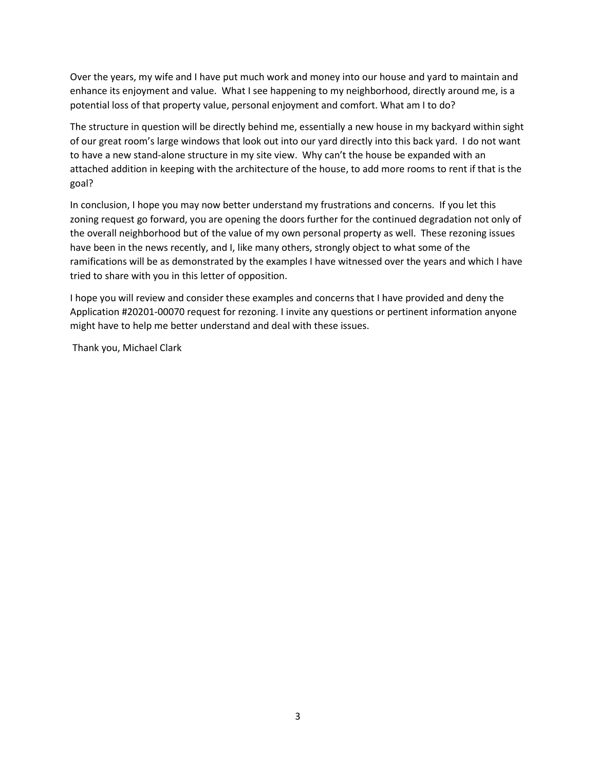Over the years, my wife and I have put much work and money into our house and yard to maintain and enhance its enjoyment and value. What I see happening to my neighborhood, directly around me, is a potential loss of that property value, personal enjoyment and comfort. What am I to do?

The structure in question will be directly behind me, essentially a new house in my backyard within sight of our great room's large windows that look out into our yard directly into this back yard. I do not want to have a new stand-alone structure in my site view. Why can't the house be expanded with an attached addition in keeping with the architecture of the house, to add more rooms to rent if that is the goal?

In conclusion, I hope you may now better understand my frustrations and concerns. If you let this zoning request go forward, you are opening the doors further for the continued degradation not only of the overall neighborhood but of the value of my own personal property as well. These rezoning issues have been in the news recently, and I, like many others, strongly object to what some of the ramifications will be as demonstrated by the examples I have witnessed over the years and which I have tried to share with you in this letter of opposition.

I hope you will review and consider these examples and concerns that I have provided and deny the Application #20201-00070 request for rezoning. I invite any questions or pertinent information anyone might have to help me better understand and deal with these issues.

Thank you, Michael Clark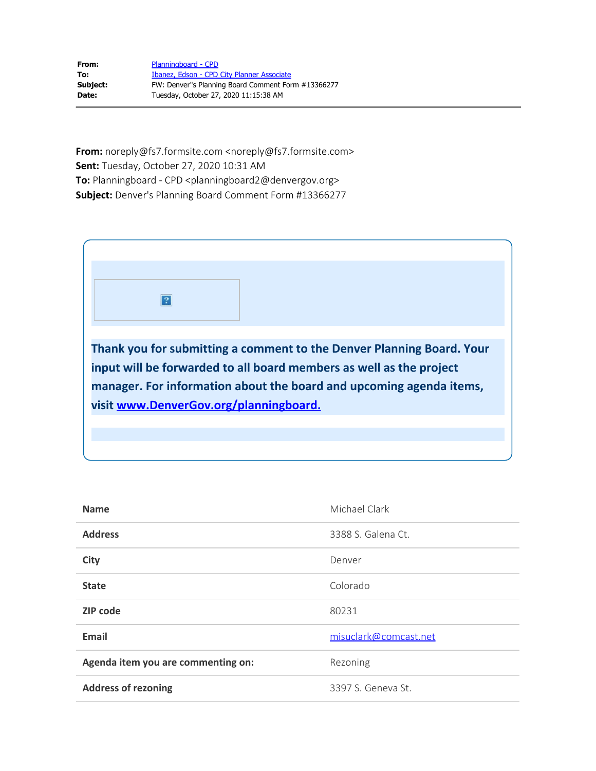| From:    | Planningboard - CPD                                |
|----------|----------------------------------------------------|
| To:      | Ibanez, Edson - CPD City Planner Associate         |
| Subject: | FW: Denver"s Planning Board Comment Form #13366277 |
| Date:    | Tuesday, October 27, 2020 11:15:38 AM              |

**From:** noreply@fs7.formsite.com <noreply@fs7.formsite.com> **Sent:** Tuesday, October 27, 2020 10:31 AM To: Planningboard - CPD <planningboard2@denvergov.org> **Subject:** Denver's Planning Board Comment Form #13366277



| <b>Name</b>                        | Michael Clark         |
|------------------------------------|-----------------------|
| <b>Address</b>                     | 3388 S. Galena Ct.    |
| <b>City</b>                        | Denver                |
| <b>State</b>                       | Colorado              |
| <b>ZIP</b> code                    | 80231                 |
| <b>Email</b>                       | misuclark@comcast.net |
| Agenda item you are commenting on: | Rezoning              |
| <b>Address of rezoning</b>         | 3397 S. Geneva St.    |